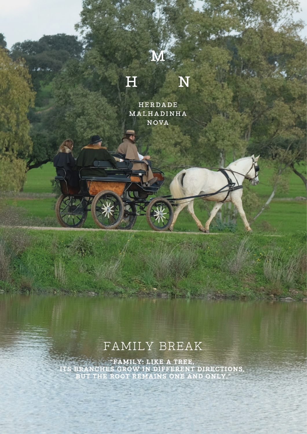## H N

3N

HERDADE MALHADINHA NOVA

# FAMILY BREAK

**"FAMILY: LIKE A TREE, ITS BRANCHES GROW IN DIFFERENT DIRECTIONS, BUT THE ROOT REMAINS ONE AND ONLY."**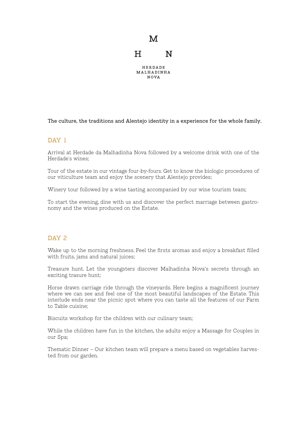

The culture, the traditions and Alentejo identity in a experience for the whole family.

#### DAY 1

Arrival at Herdade da Malhadinha Nova followed by a welcome drink with one of the Herdade's wines;

Tour of the estate in our vintage four-by-fours. Get to know the biologic procedures of our viticulture team and enjoy the scenery that Alentejo provides;

Winery tour followed by a wine tasting accompanied by our wine tourism team;

To start the evening, dine with us and discover the perfect marriage between gastronomy and the wines produced on the Estate.

#### DAY<sub>2</sub>

Wake up to the morning freshness. Feel the firsts aromas and enjoy a breakfast filled with fruits, jams and natural juices;

Treasure hunt. Let the youngsters discover Malhadinha Nova's secrets through an exciting trasure hunt;

Horse drawn carriage ride through the vineyards. Here begins a magnificent journey where we can see and feel one of the most beautiful landscapes of the Estate. This interlude ends near the picnic spot where you can taste all the features of our Farm to Table cuisine;

Biscuits workshop for the children with our culinary team;

While the children have fun in the kitchen, the adults enjoy a Massage for Couples in our Spa;

Thematic Dinner – Our kitchen team will prepare a menu based on vegetables harvested from our garden.